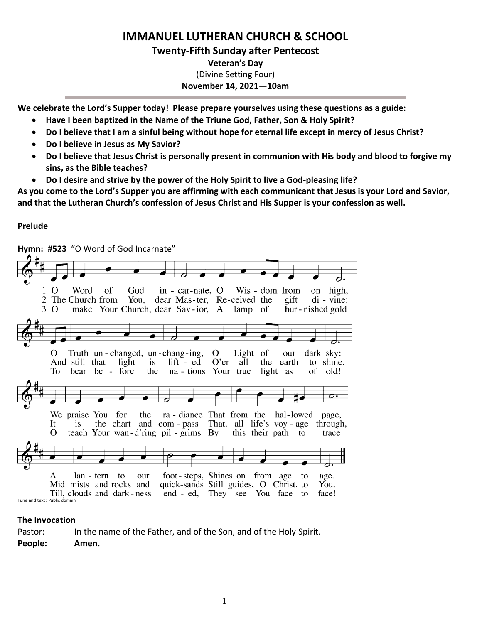# **IMMANUEL LUTHERAN CHURCH & SCHOOL**

## **Twenty-Fifth Sunday after Pentecost**

**Veteran's Day** (Divine Setting Four) **November 14, 2021—10am**

**We celebrate the Lord's Supper today! Please prepare yourselves using these questions as a guide:**

- **Have I been baptized in the Name of the Triune God, Father, Son & Holy Spirit?**
- **Do I believe that I am a sinful being without hope for eternal life except in mercy of Jesus Christ?**
- **Do I believe in Jesus as My Savior?**
- **Do I believe that Jesus Christ is personally present in communion with His body and blood to forgive my sins, as the Bible teaches?**
- **Do I desire and strive by the power of the Holy Spirit to live a God-pleasing life?**

**As you come to the Lord's Supper you are affirming with each communicant that Jesus is your Lord and Savior, and that the Lutheran Church's confession of Jesus Christ and His Supper is your confession as well.**

# **Prelude**

**Hymn: #523** "O Word of God Incarnate"



#### **The Invocation**

Pastor: In the name of the Father, and of the Son, and of the Holy Spirit. **People: Amen.**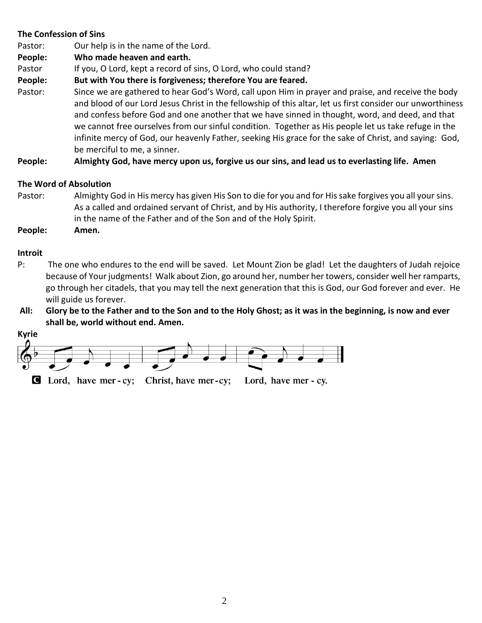## **The Confession of Sins**

Pastor: Our help is in the name of the Lord. **People: Who made heaven and earth.** Pastor If you, O Lord, kept a record of sins, O Lord, who could stand? **People: But with You there is forgiveness; therefore You are feared.** Pastor: Since we are gathered to hear God's Word, call upon Him in prayer and praise, and receive the body and blood of our Lord Jesus Christ in the fellowship of this altar, let us first consider our unworthiness and confess before God and one another that we have sinned in thought, word, and deed, and that we cannot free ourselves from our sinful condition. Together as His people let us take refuge in the infinite mercy of God, our heavenly Father, seeking His grace for the sake of Christ, and saying: God, be merciful to me, a sinner.

**People: Almighty God, have mercy upon us, forgive us our sins, and lead us to everlasting life. Amen**

#### **The Word of Absolution**

Pastor: Almighty God in His mercy has given His Son to die for you and for His sake forgives you all your sins. As a called and ordained servant of Christ, and by His authority, I therefore forgive you all your sins in the name of the Father and of the Son and of the Holy Spirit.

**People: Amen.**

#### **Introit**

- P: The one who endures to the end will be saved. Let Mount Zion be glad! Let the daughters of Judah rejoice because of Your judgments! Walk about Zion, go around her, number her towers, consider well her ramparts, go through her citadels, that you may tell the next generation that this is God, our God forever and ever. He will guide us forever.
- **All: Glory be to the Father and to the Son and to the Holy Ghost; as it was in the beginning, is now and ever shall be, world without end. Amen.**

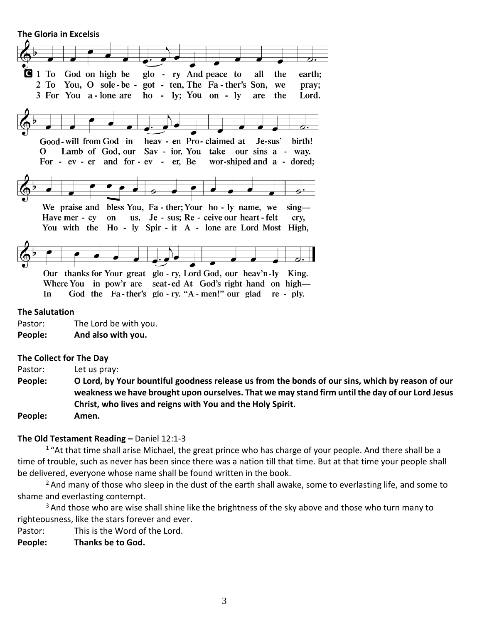**The Gloria in Excelsis** 



#### **The Salutation**

Pastor: The Lord be with you. **People: And also with you.**

#### **The Collect for The Day**

Pastor: Let us pray:

**People: O Lord, by Your bountiful goodness release us from the bonds of our sins, which by reason of our weakness we have brought upon ourselves. That we may stand firm until the day of our Lord Jesus Christ, who lives and reigns with You and the Holy Spirit.** 

**People: Amen.**

#### **The Old Testament Reading –** Daniel 12:1-3

 $1$  "At that time shall arise Michael, the great prince who has charge of your people. And there shall be a time of trouble, such as never has been since there was a nation till that time. But at that time your people shall be delivered, everyone whose name shall be found written in the book.

<sup>2</sup> And many of those who sleep in the dust of the earth shall awake, some to everlasting life, and some to shame and everlasting contempt.

 $3$  And those who are wise shall shine like the brightness of the sky above and those who turn many to righteousness, like the stars forever and ever.

Pastor: This is the Word of the Lord.

**People: Thanks be to God.**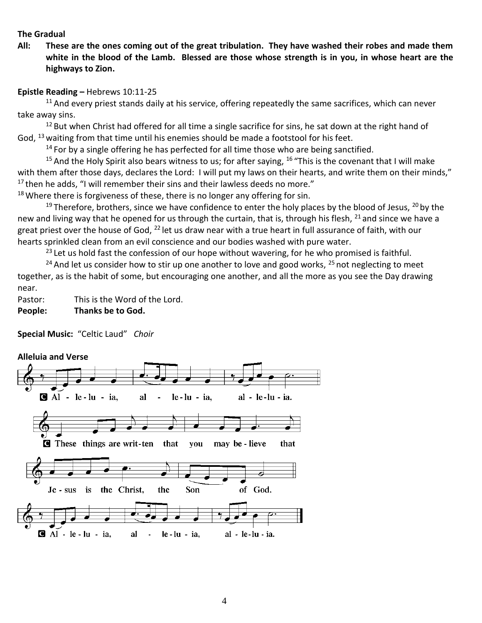#### **The Gradual**

**All: These are the ones coming out of the great tribulation. They have washed their robes and made them white in the blood of the Lamb. Blessed are those whose strength is in you, in whose heart are the highways to Zion.**

#### **Epistle Reading –** Hebrews 10:11-25

 $11$  And every priest stands daily at his service, offering repeatedly the same sacrifices, which can never take away sins.

<sup>12</sup> But when Christ had offered for all time a single sacrifice for sins, he sat down at the right hand of God, <sup>13</sup> waiting from that time until his enemies should be made a footstool for his feet.

 $14$  For by a single offering he has perfected for all time those who are being sanctified.

<sup>15</sup> And the Holy Spirit also bears witness to us; for after saying, <sup>16</sup> "This is the covenant that I will make with them after those days, declares the Lord: I will put my laws on their hearts, and write them on their minds,"  $17$  then he adds, "I will remember their sins and their lawless deeds no more."

<sup>18</sup> Where there is forgiveness of these, there is no longer any offering for sin.

<sup>19</sup> Therefore, brothers, since we have confidence to enter the holy places by the blood of Jesus,  $^{20}$  by the new and living way that he opened for us through the curtain, that is, through his flesh, <sup>21</sup> and since we have a great priest over the house of God, <sup>22</sup> let us draw near with a true heart in full assurance of faith, with our hearts sprinkled clean from an evil conscience and our bodies washed with pure water.

 $23$  Let us hold fast the confession of our hope without wavering, for he who promised is faithful.

 $24$  And let us consider how to stir up one another to love and good works,  $25$  not neglecting to meet together, as is the habit of some, but encouraging one another, and all the more as you see the Day drawing near.

Pastor: This is the Word of the Lord.

**People: Thanks be to God.**

**Special Music:** "Celtic Laud" *Choir*

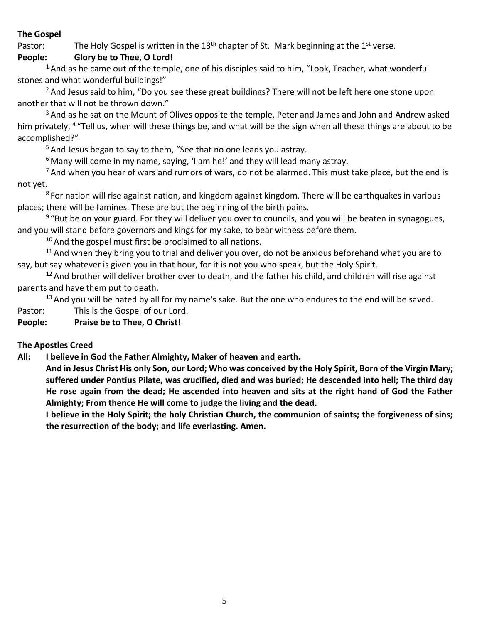## **The Gospel**

Pastor: The Holy Gospel is written in the  $13<sup>th</sup>$  chapter of St. Mark beginning at the  $1<sup>st</sup>$  verse.

# **People: Glory be to Thee, O Lord!**

 $1$  And as he came out of the temple, one of his disciples said to him, "Look, Teacher, what wonderful stones and what wonderful buildings!"

<sup>2</sup> And Jesus said to him, "Do you see these great buildings? There will not be left here one stone upon another that will not be thrown down."

<sup>3</sup> And as he sat on the Mount of Olives opposite the temple, Peter and James and John and Andrew asked him privately, <sup>4</sup> "Tell us, when will these things be, and what will be the sign when all these things are about to be accomplished?"

<sup>5</sup> And Jesus began to say to them, "See that no one leads you astray.

 $6$  Many will come in my name, saying, 'I am he!' and they will lead many astray.

<sup>7</sup> And when you hear of wars and rumors of wars, do not be alarmed. This must take place, but the end is not yet.

<sup>8</sup> For nation will rise against nation, and kingdom against kingdom. There will be earthquakes in various places; there will be famines. These are but the beginning of the birth pains.

<sup>9</sup> "But be on your guard. For they will deliver you over to councils, and you will be beaten in synagogues, and you will stand before governors and kings for my sake, to bear witness before them.

 $10$  And the gospel must first be proclaimed to all nations.

 $11$  And when they bring you to trial and deliver you over, do not be anxious beforehand what you are to say, but say whatever is given you in that hour, for it is not you who speak, but the Holy Spirit.

 $12$  And brother will deliver brother over to death, and the father his child, and children will rise against parents and have them put to death.

<sup>13</sup> And you will be hated by all for my name's sake. But the one who endures to the end will be saved.

Pastor: This is the Gospel of our Lord.

## **People: Praise be to Thee, O Christ!**

#### **The Apostles Creed**

**All: I believe in God the Father Almighty, Maker of heaven and earth.** 

**And in Jesus Christ His only Son, our Lord; Who was conceived by the Holy Spirit, Born of the Virgin Mary; suffered under Pontius Pilate, was crucified, died and was buried; He descended into hell; The third day He rose again from the dead; He ascended into heaven and sits at the right hand of God the Father Almighty; From thence He will come to judge the living and the dead.**

**I believe in the Holy Spirit; the holy Christian Church, the communion of saints; the forgiveness of sins; the resurrection of the body; and life everlasting. Amen.**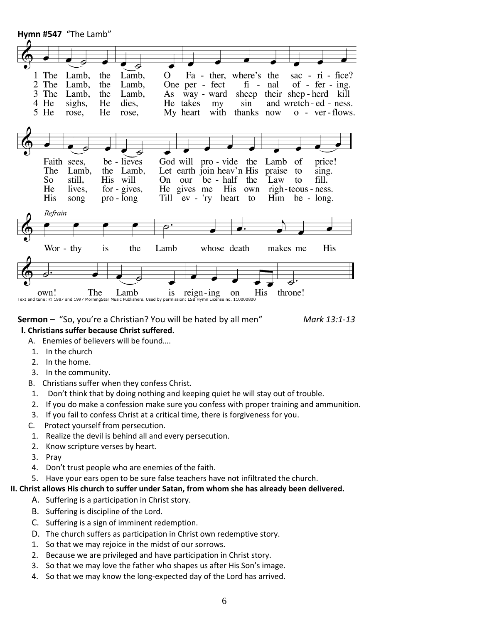**Hymn #547** "The Lamb"  $L<sub>amb</sub>$ . The Lamb. the  $\Omega$ Fa - ther, where's the sac - ri - fice? 1  $\mathcal{D}_{\alpha}$ of -  $fer - ing$ . The Lamb, the Lamb. One per - fect  $fi$  -  $nal$ 3 The Lamb. the Lamb. way - ward sheep their shep-herd kill As 4 He sighs, He dies, He takes sin and wretch-ed - ness. my 5 He rose, He rose, My heart with thanks now  $o$  - ver-flows.  $be - lieves$ Faith sees. God will pro - vide the Lamb of price! Let earth join heav'n His The Lamb. the Lamb. praise to  $\sin g$ .  $So$ still. His will On our be - half the Law fill. to He lives, for - gives, He gives me His own righ-teous - ness. His song pro - long Till ev - 'ry heart to  $\lim$  be - long. Refrain Wor - thy is the Lamb whose death His makes me reign-ing His throne! own! The Lamb is on Text and tune: © 1987 and 1997 MorningStar Music Publishers. Used by permission: LSB Hymn License no. 110000800

# **Sermon –** "So, you're a Christian? You will be hated by all men" *Mark 13:1-13*

#### **I. Christians suffer because Christ suffered.**

- A. Enemies of believers will be found….
- 1. In the church
- 2. In the home.
- 3. In the community.
- B. Christians suffer when they confess Christ.
- 1. Don't think that by doing nothing and keeping quiet he will stay out of trouble.
- 2. If you do make a confession make sure you confess with proper training and ammunition.
- 3. If you fail to confess Christ at a critical time, there is forgiveness for you.
- C. Protect yourself from persecution.
- 1. Realize the devil is behind all and every persecution.
- 2. Know scripture verses by heart.
- 3. Pray
- 4. Don't trust people who are enemies of the faith.
- 5. Have your ears open to be sure false teachers have not infiltrated the church.

#### **II. Christ allows His church to suffer under Satan, from whom she has already been delivered.**

- A. Suffering is a participation in Christ story.
- B. Suffering is discipline of the Lord.
- C. Suffering is a sign of imminent redemption.
- D. The church suffers as participation in Christ own redemptive story.
- 1. So that we may rejoice in the midst of our sorrows.
- 2. Because we are privileged and have participation in Christ story.
- 3. So that we may love the father who shapes us after His Son's image.
- 4. So that we may know the long-expected day of the Lord has arrived.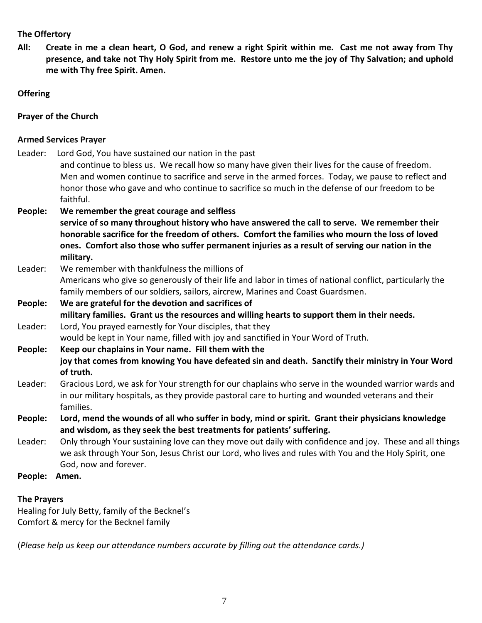## **The Offertory**

**All: Create in me a clean heart, O God, and renew a right Spirit within me. Cast me not away from Thy presence, and take not Thy Holy Spirit from me. Restore unto me the joy of Thy Salvation; and uphold me with Thy free Spirit. Amen.**

## **Offering**

## **Prayer of the Church**

## **Armed Services Prayer**

- Leader: Lord God, You have sustained our nation in the past and continue to bless us. We recall how so many have given their lives for the cause of freedom. Men and women continue to sacrifice and serve in the armed forces. Today, we pause to reflect and honor those who gave and who continue to sacrifice so much in the defense of our freedom to be faithful.
- **People: We remember the great courage and selfless service of so many throughout history who have answered the call to serve. We remember their honorable sacrifice for the freedom of others. Comfort the families who mourn the loss of loved ones. Comfort also those who suffer permanent injuries as a result of serving our nation in the military.**
- Leader: We remember with thankfulness the millions of Americans who give so generously of their life and labor in times of national conflict, particularly the family members of our soldiers, sailors, aircrew, Marines and Coast Guardsmen.
- **People: We are grateful for the devotion and sacrifices of military families. Grant us the resources and willing hearts to support them in their needs.** Leader: Lord, You prayed earnestly for Your disciples, that they

would be kept in Your name, filled with joy and sanctified in Your Word of Truth.

- **People: Keep our chaplains in Your name. Fill them with the joy that comes from knowing You have defeated sin and death. Sanctify their ministry in Your Word of truth.**
- Leader: Gracious Lord, we ask for Your strength for our chaplains who serve in the wounded warrior wards and in our military hospitals, as they provide pastoral care to hurting and wounded veterans and their families.
- **People: Lord, mend the wounds of all who suffer in body, mind or spirit. Grant their physicians knowledge and wisdom, as they seek the best treatments for patients' suffering.**
- Leader: Only through Your sustaining love can they move out daily with confidence and joy. These and all things we ask through Your Son, Jesus Christ our Lord, who lives and rules with You and the Holy Spirit, one God, now and forever.
- **People: Amen.**

#### **The Prayers**

Healing for July Betty, family of the Becknel's Comfort & mercy for the Becknel family

(*Please help us keep our attendance numbers accurate by filling out the attendance cards.)*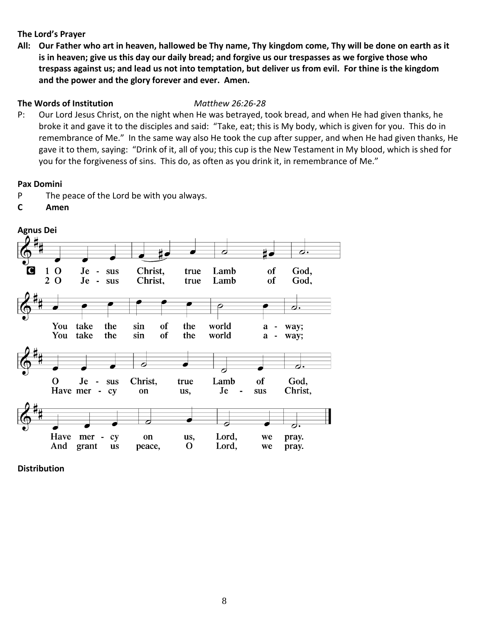## **The Lord's Prayer**

**All: Our Father who art in heaven, hallowed be Thy name, Thy kingdom come, Thy will be done on earth as it is in heaven; give us this day our daily bread; and forgive us our trespasses as we forgive those who trespass against us; and lead us not into temptation, but deliver us from evil. For thine is the kingdom and the power and the glory forever and ever. Amen.**

## **The Words of Institution** *Matthew 26:26-28*

P: Our Lord Jesus Christ, on the night when He was betrayed, took bread, and when He had given thanks, he broke it and gave it to the disciples and said: "Take, eat; this is My body, which is given for you. This do in remembrance of Me." In the same way also He took the cup after supper, and when He had given thanks, He gave it to them, saying: "Drink of it, all of you; this cup is the New Testament in My blood, which is shed for you for the forgiveness of sins. This do, as often as you drink it, in remembrance of Me."

#### **Pax Domini**

- P The peace of the Lord be with you always.
- **C Amen**



**Distribution**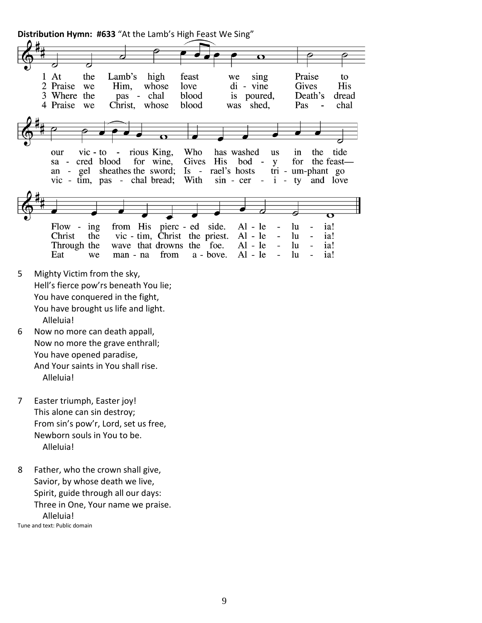**Distribution Hymn: #633** "At the Lamb's High Feast We Sing"

|    |                                                                                                                                                                         |                                                                                                                                      |                                 |                                              | ෬                                          |                                             |                               |  |
|----|-------------------------------------------------------------------------------------------------------------------------------------------------------------------------|--------------------------------------------------------------------------------------------------------------------------------------|---------------------------------|----------------------------------------------|--------------------------------------------|---------------------------------------------|-------------------------------|--|
|    |                                                                                                                                                                         |                                                                                                                                      |                                 |                                              |                                            |                                             |                               |  |
| 1  | At<br>the<br>2 Praise<br>we<br>3 Where the<br>4 Praise<br>we                                                                                                            | high<br>Lamb's<br>Him,<br>whose<br>pas - chal<br>Christ, whose                                                                       | feast<br>love<br>blood<br>blood | we<br>$di - vine$<br>is poured,<br>was shed, | sing                                       | Praise<br>Gives<br>Death's<br>Pas<br>$\sim$ | to<br>His<br>dread<br>chal    |  |
|    | our<br>sa - cred blood for wine,<br>an - gel sheathes the sword; Is - rael's hosts tri - um-phant go<br>vic - tim, pas - chal bread; With $sin - cer - i - ty$ and love | $\overline{\text{vic}}$ - to - rious King,                                                                                           | Ω<br>Who<br>Gives               | has washed<br>His bod -                      | us<br>${\bf y}$                            | in                                          | the tide<br>for the feast—    |  |
|    | Flow - $ing$<br>the<br>Christ<br>Through the<br>Eat<br>we                                                                                                               | from His pierc - ed side. Al - le -<br>vic - tim, Christ the priest. Al - le -<br>wave that drowns the foe. Al - le<br>man - na from |                                 | $a - bove$ . Al - le                         | $\overline{\phantom{a}}$<br>$\blacksquare$ | lu<br>lu<br>lu<br>lu                        | Ω<br>ia!<br>ia!<br>ia!<br>ia! |  |
| 5. | Mighty Victim from the sky,                                                                                                                                             |                                                                                                                                      |                                 |                                              |                                            |                                             |                               |  |

- 5 Mighty Victim from the sky, Hell's fierce pow'rs beneath You lie; You have conquered in the fight, You have brought us life and light. Alleluia!
- 6 Now no more can death appall, Now no more the grave enthrall; You have opened paradise, And Your saints in You shall rise. Alleluia!
- 7 Easter triumph, Easter joy! This alone can sin destroy; From sin's pow'r, Lord, set us free, Newborn souls in You to be. Alleluia!
- 8 Father, who the crown shall give, Savior, by whose death we live, Spirit, guide through all our days: Three in One, Your name we praise. Alleluia! Tune and text: Public domain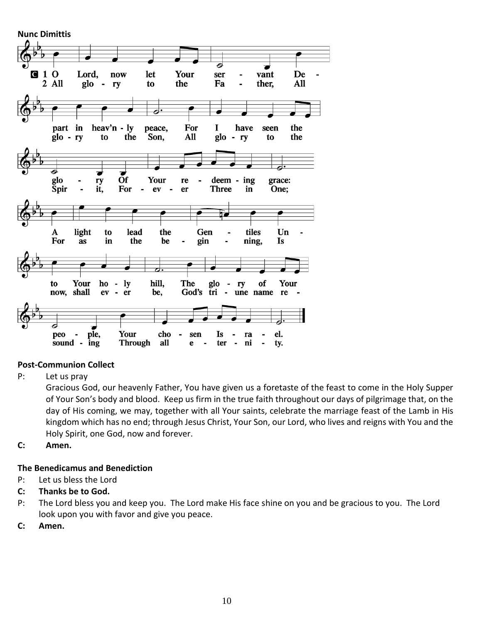

# **Post-Communion Collect**

P: Let us pray

Gracious God, our heavenly Father, You have given us a foretaste of the feast to come in the Holy Supper of Your Son's body and blood. Keep us firm in the true faith throughout our days of pilgrimage that, on the day of His coming, we may, together with all Your saints, celebrate the marriage feast of the Lamb in His kingdom which has no end; through Jesus Christ, Your Son, our Lord, who lives and reigns with You and the Holy Spirit, one God, now and forever.

**C: Amen.**

# **The Benedicamus and Benediction**

- P: Let us bless the Lord
- **C: Thanks be to God.**
- P: The Lord bless you and keep you. The Lord make His face shine on you and be gracious to you. The Lord look upon you with favor and give you peace.
- **C: Amen.**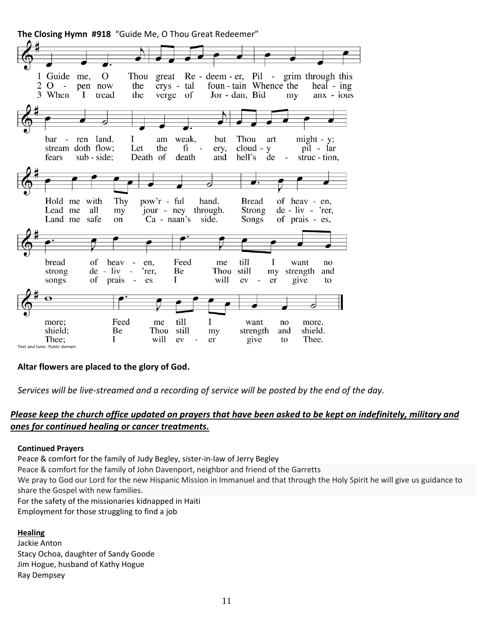**The Closing Hymn #918** "Guide Me, O Thou Great Redeemer" 1 Guide me,  $\overline{O}$ Thou great Re - deem - er, Pil grim through this  $\sim$ 2 O  $\sim$ pen now the crys - tal foun - tain Whence the heal - ing 3 When  $\bf{I}$ tread Jor - dan, Bid  $anx - ious$ the verge of my bar  $\sim$ ren land. I am weak, but Thou art  $might - y;$ stream doth flow; Let the fi ery, cloud - y pil - lar  $sub - side$ : Death of death and hell's de fears struc - tion, Hold me with Thy pow'r - ful **Bread** of heav - en. hand. Lead me all jour - ney Strong  $de - liv - 'rer,$ my through. Land me safe on  $Ca - \text{naan's}$ side. Songs of prais - es,  $\alpha$ f Feed till I bread heav  $\overline{a}$ en. me want  $n<sub>0</sub>$ de  $-$  liv Be Thou still strong  $\sim$ 'rer. my strength and songs of prais  $\overline{\phantom{a}}$ es Ι will ev  $\overline{a}$ er give to Feed me till  $\mathbf I$ want  $no$ more. more: shield: **Be** Thou still my strength and shield. Thee: I will ev give Thee. er to Text and tune: Public domain

**Altar flowers are placed to the glory of God.**

*Services will be live-streamed and a recording of service will be posted by the end of the day.* 

# *Please keep the church office updated on prayers that have been asked to be kept on indefinitely, military and ones for continued healing or cancer treatments.*

# **Continued Prayers**

Peace & comfort for the family of Judy Begley, sister-in-law of Jerry Begley

Peace & comfort for the family of John Davenport, neighbor and friend of the Garretts

We pray to God our Lord for the new Hispanic Mission in Immanuel and that through the Holy Spirit he will give us guidance to share the Gospel with new families.

For the safety of the missionaries kidnapped in Haiti

Employment for those struggling to find a job

# **Healing**

Jackie Anton Stacy Ochoa, daughter of Sandy Goode Jim Hogue, husband of Kathy Hogue Ray Dempsey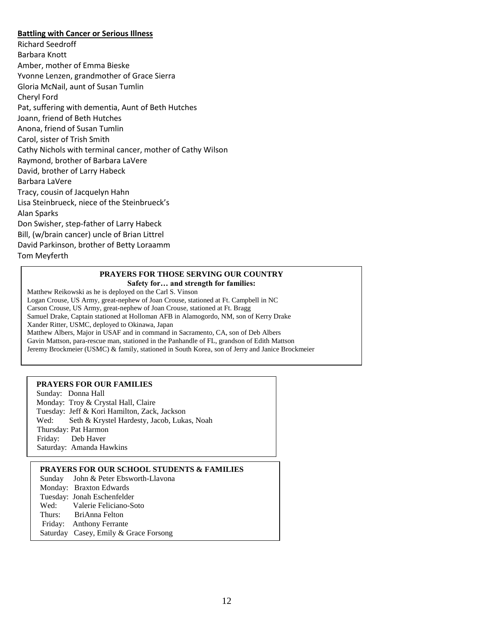#### **Battling with Cancer or Serious Illness**

Richard Seedroff Barbara Knott Amber, mother of Emma Bieske Yvonne Lenzen, grandmother of Grace Sierra Gloria McNail, aunt of Susan Tumlin Cheryl Ford Pat, suffering with dementia, Aunt of Beth Hutches Joann, friend of Beth Hutches Anona, friend of Susan Tumlin Carol, sister of Trish Smith Cathy Nichols with terminal cancer, mother of Cathy Wilson Raymond, brother of Barbara LaVere David, brother of Larry Habeck Barbara LaVere Tracy, cousin of Jacquelyn Hahn Lisa Steinbrueck, niece of the Steinbrueck's Alan Sparks Don Swisher, step-father of Larry Habeck Bill, (w/brain cancer) uncle of Brian Littrel David Parkinson, brother of Betty Loraamm Tom Meyferth

#### **PRAYERS FOR THOSE SERVING OUR COUNTRY Safety for… and strength for families:**

Matthew Reikowski as he is deployed on the Carl S. Vinson Logan Crouse, US Army, great-nephew of Joan Crouse, stationed at Ft. Campbell in NC Carson Crouse, US Army, great-nephew of Joan Crouse, stationed at Ft. Bragg Samuel Drake, Captain stationed at Holloman AFB in Alamogordo, NM, son of Kerry Drake Xander Ritter, USMC, deployed to Okinawa, Japan Matthew Albers, Major in USAF and in command in Sacramento, CA, son of Deb Albers Gavin Mattson, para-rescue man, stationed in the Panhandle of FL, grandson of Edith Mattson Jeremy Brockmeier (USMC) & family, stationed in South Korea, son of Jerry and Janice Brockmeier

#### **PRAYERS FOR OUR FAMILIES**

Sunday: Donna Hall Monday: Troy & Crystal Hall, Claire Tuesday: Jeff & Kori Hamilton, Zack, Jackson Wed: Seth & Krystel Hardesty, Jacob, Lukas, Noah Thursday: Pat Harmon Friday: Deb Haver Saturday: Amanda Hawkins

#### **PRAYERS FOR OUR SCHOOL STUDENTS & FAMILIES**

Sunday John & Peter Ebsworth-Llavona Monday: Braxton Edwards Tuesday: Jonah Eschenfelder Wed: Valerie Feliciano-Soto Thurs: BriAnna Felton Friday: Anthony Ferrante Saturday Casey, Emily & Grace Forsong